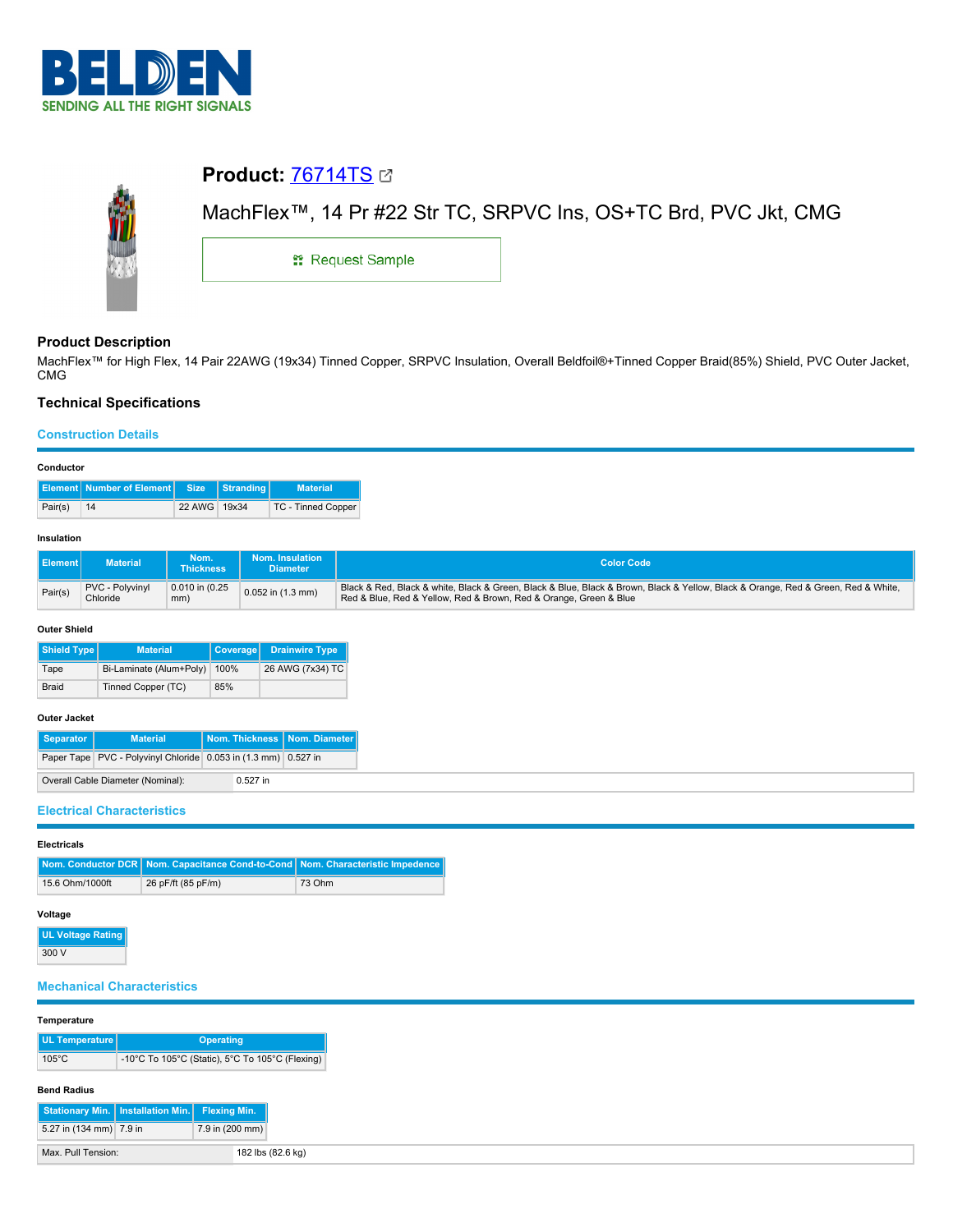

# **Product:** [76714TS](https://catalog.belden.com/index.cfm?event=pd&p=PF_76714TS&tab=downloads)



# **Product Description**

MachFlex™ for High Flex, 14 Pair 22AWG (19x34) Tinned Copper, SRPVC Insulation, Overall Beldfoil®+Tinned Copper Braid(85%) Shield, PVC Outer Jacket, CMG

# **Technical Specifications**

#### **Construction Details**

| Conductor |         |                                           |              |           |                    |  |  |
|-----------|---------|-------------------------------------------|--------------|-----------|--------------------|--|--|
|           |         | <b>Element   Number of Element   Size</b> |              | Stranding | <b>Material</b>    |  |  |
|           | Pair(s) | 14                                        | 22 AWG 19x34 |           | TC - Tinned Copper |  |  |

#### **Insulation**

| <b>I</b> Element I | <b>Material</b>             | Nom.<br><b>Thickness</b> | Nom. Insulation<br><b>Diameter</b> | <b>Color Code</b>                                                                                                                                                                                      |  |  |
|--------------------|-----------------------------|--------------------------|------------------------------------|--------------------------------------------------------------------------------------------------------------------------------------------------------------------------------------------------------|--|--|
| Pair(s)            | PVC - Polyvinyl<br>Chloride | 0.010 in (0.25<br>mm)    | $0.052$ in $(1.3$ mm)              | Black & Red, Black & white, Black & Green, Black & Blue, Black & Brown, Black & Yellow, Black & Orange, Red & Green, Red & White,<br>Red & Blue, Red & Yellow, Red & Brown, Red & Orange, Green & Blue |  |  |

#### **Outer Shield**

| Shield Type  | <b>Material</b>         | <b>Coverage</b> | <b>Drainwire Type</b> |
|--------------|-------------------------|-----------------|-----------------------|
| Tape         | Bi-Laminate (Alum+Poly) | 100%            | 26 AWG (7x34) TC      |
| <b>Braid</b> | Tinned Copper (TC)      |                 |                       |

## **Outer Jacket**

| Separator | <b>Material</b>                                                | Nom. Thickness   Nom. Diameter |  |
|-----------|----------------------------------------------------------------|--------------------------------|--|
|           | Paper Tape PVC - Polyvinyl Chloride 0.053 in (1.3 mm) 0.527 in |                                |  |
|           | Overall Cable Diameter (Nominal):                              | $0.527$ in                     |  |

# **Electrical Characteristics**

| <b>Electricals</b> |                                                                                |        |  |  |  |  |
|--------------------|--------------------------------------------------------------------------------|--------|--|--|--|--|
|                    | Nom. Conductor DCR Nom. Capacitance Cond-to-Cond Nom. Characteristic Impedence |        |  |  |  |  |
| 15.6 Ohm/1000ft    | 26 pF/ft (85 pF/m)                                                             | 73 Ohm |  |  |  |  |
|                    |                                                                                |        |  |  |  |  |

## **Voltage**

**UL Voltage Rating** 300 V

## **Mechanical Characteristics**

#### **Temperature**

|  | UL Temperature  | <b>Operating</b>                                |  |  |  |
|--|-----------------|-------------------------------------------------|--|--|--|
|  | $105^{\circ}$ C | -10°C To 105°C (Static), 5°C To 105°C (Flexing) |  |  |  |

#### **Bend Radius**

| Stationary Min.   Installation Min.   Flexing Min. |                   |
|----------------------------------------------------|-------------------|
| 5.27 in (134 mm) 7.9 in                            | 7.9 in (200 mm)   |
| Max. Pull Tension:                                 | 182 lbs (82.6 kg) |